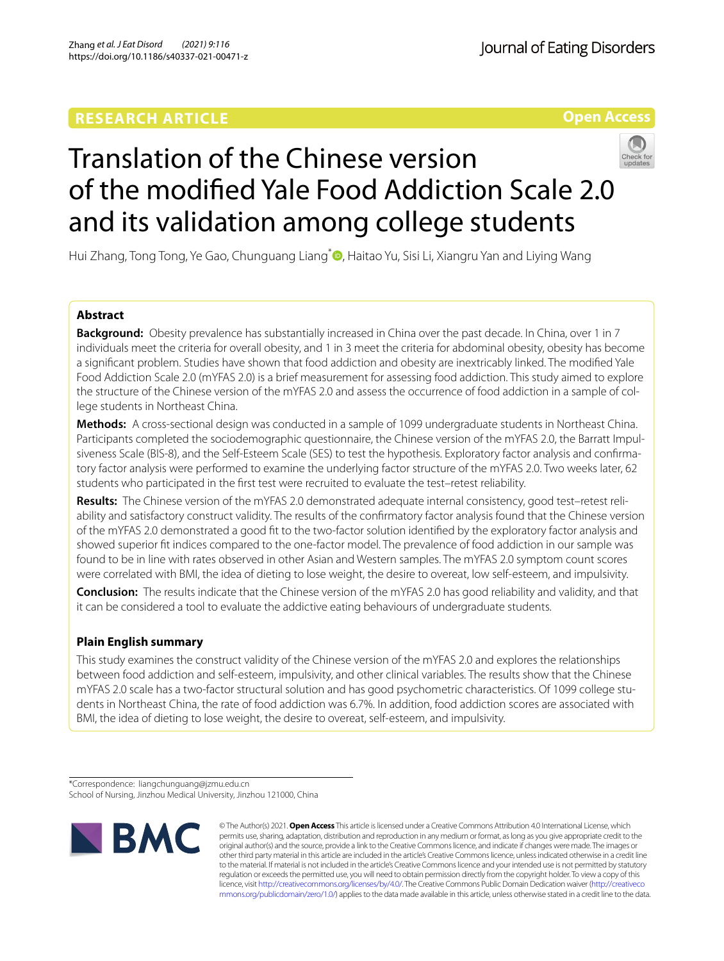# **RESEARCH ARTICLE**

**Open Access**

# Translation of the Chinese version of the modifed Yale Food Addiction Scale 2.0 and its validation among college students

Hui Zhang, Tong Tong, Ye Gao, Chunguang Liang<sup>[\\*](http://orcid.org/0000-0002-8604-4439)</sup> , Haitao Yu, Sisi Li, Xiangru Yan and Liying Wang

# **Abstract**

**Background:** Obesity prevalence has substantially increased in China over the past decade. In China, over 1 in 7 individuals meet the criteria for overall obesity, and 1 in 3 meet the criteria for abdominal obesity, obesity has become a signifcant problem. Studies have shown that food addiction and obesity are inextricably linked. The modifed Yale Food Addiction Scale 2.0 (mYFAS 2.0) is a brief measurement for assessing food addiction. This study aimed to explore the structure of the Chinese version of the mYFAS 2.0 and assess the occurrence of food addiction in a sample of college students in Northeast China.

**Methods:** A cross-sectional design was conducted in a sample of 1099 undergraduate students in Northeast China. Participants completed the sociodemographic questionnaire, the Chinese version of the mYFAS 2.0, the Barratt Impulsiveness Scale (BIS-8), and the Self-Esteem Scale (SES) to test the hypothesis. Exploratory factor analysis and confrmatory factor analysis were performed to examine the underlying factor structure of the mYFAS 2.0. Two weeks later, 62 students who participated in the frst test were recruited to evaluate the test–retest reliability.

**Results:** The Chinese version of the mYFAS 2.0 demonstrated adequate internal consistency, good test–retest reliability and satisfactory construct validity. The results of the confrmatory factor analysis found that the Chinese version of the mYFAS 2.0 demonstrated a good ft to the two-factor solution identifed by the exploratory factor analysis and showed superior ft indices compared to the one-factor model. The prevalence of food addiction in our sample was found to be in line with rates observed in other Asian and Western samples. The mYFAS 2.0 symptom count scores were correlated with BMI, the idea of dieting to lose weight, the desire to overeat, low self-esteem, and impulsivity.

**Conclusion:** The results indicate that the Chinese version of the mYFAS 2.0 has good reliability and validity, and that it can be considered a tool to evaluate the addictive eating behaviours of undergraduate students.

# **Plain English summary**

This study examines the construct validity of the Chinese version of the mYFAS 2.0 and explores the relationships between food addiction and self-esteem, impulsivity, and other clinical variables. The results show that the Chinese mYFAS 2.0 scale has a two-factor structural solution and has good psychometric characteristics. Of 1099 college students in Northeast China, the rate of food addiction was 6.7%. In addition, food addiction scores are associated with BMI, the idea of dieting to lose weight, the desire to overeat, self-esteem, and impulsivity.

\*Correspondence: liangchunguang@jzmu.edu.cn School of Nursing, Jinzhou Medical University, Jinzhou 121000, China



© The Author(s) 2021. **Open Access** This article is licensed under a Creative Commons Attribution 4.0 International License, which permits use, sharing, adaptation, distribution and reproduction in any medium or format, as long as you give appropriate credit to the original author(s) and the source, provide a link to the Creative Commons licence, and indicate if changes were made. The images or other third party material in this article are included in the article's Creative Commons licence, unless indicated otherwise in a credit line to the material. If material is not included in the article's Creative Commons licence and your intended use is not permitted by statutory regulation or exceeds the permitted use, you will need to obtain permission directly from the copyright holder. To view a copy of this licence, visit [http://creativecommons.org/licenses/by/4.0/.](http://creativecommons.org/licenses/by/4.0/) The Creative Commons Public Domain Dedication waiver ([http://creativeco](http://creativecommons.org/publicdomain/zero/1.0/) [mmons.org/publicdomain/zero/1.0/](http://creativecommons.org/publicdomain/zero/1.0/)) applies to the data made available in this article, unless otherwise stated in a credit line to the data.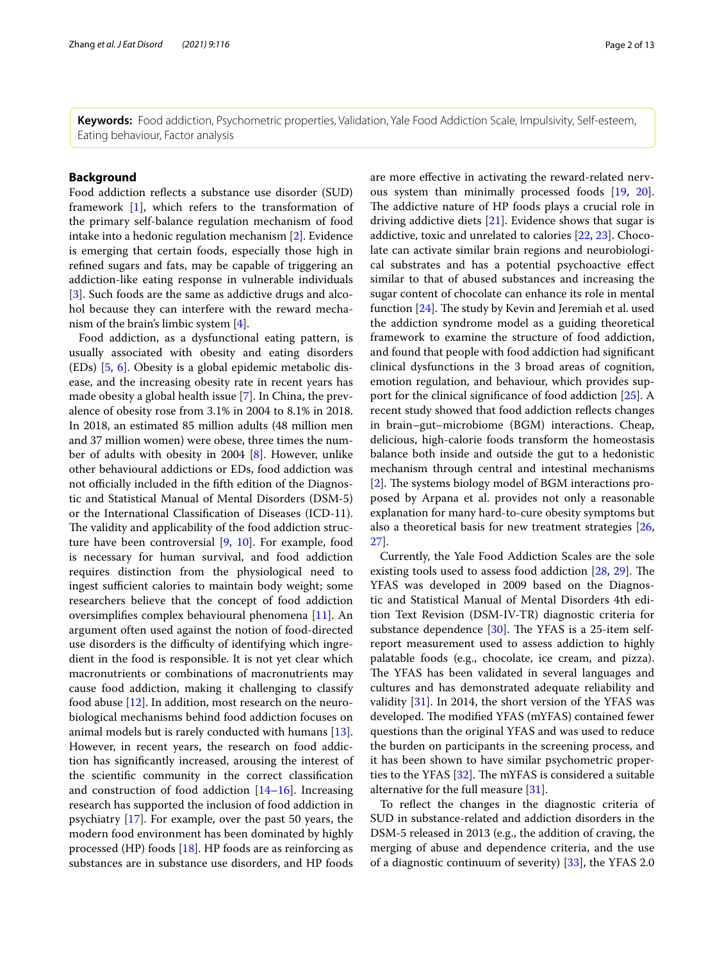**Keywords:** Food addiction, Psychometric properties, Validation, Yale Food Addiction Scale, Impulsivity, Self-esteem, Eating behaviour, Factor analysis

# **Background**

Food addiction reflects a substance use disorder (SUD) framework [[1\]](#page-11-0), which refers to the transformation of the primary self-balance regulation mechanism of food intake into a hedonic regulation mechanism [\[2](#page-11-1)]. Evidence is emerging that certain foods, especially those high in refned sugars and fats, may be capable of triggering an addiction-like eating response in vulnerable individuals [[3\]](#page-11-2). Such foods are the same as addictive drugs and alcohol because they can interfere with the reward mechanism of the brain's limbic system [[4\]](#page-11-3).

Food addiction, as a dysfunctional eating pattern, is usually associated with obesity and eating disorders (EDs) [\[5](#page-11-4), [6\]](#page-11-5). Obesity is a global epidemic metabolic disease, and the increasing obesity rate in recent years has made obesity a global health issue [\[7](#page-11-6)]. In China, the prevalence of obesity rose from 3.1% in 2004 to 8.1% in 2018. In 2018, an estimated 85 million adults (48 million men and 37 million women) were obese, three times the number of adults with obesity in 2004 [[8\]](#page-11-7). However, unlike other behavioural addictions or EDs, food addiction was not officially included in the fifth edition of the Diagnostic and Statistical Manual of Mental Disorders (DSM-5) or the International Classifcation of Diseases (ICD-11). The validity and applicability of the food addiction structure have been controversial [[9,](#page-11-8) [10\]](#page-11-9). For example, food is necessary for human survival, and food addiction requires distinction from the physiological need to ingest sufficient calories to maintain body weight; some researchers believe that the concept of food addiction oversimplifes complex behavioural phenomena [[11\]](#page-11-10). An argument often used against the notion of food-directed use disorders is the difficulty of identifying which ingredient in the food is responsible. It is not yet clear which macronutrients or combinations of macronutrients may cause food addiction, making it challenging to classify food abuse [[12\]](#page-11-11). In addition, most research on the neurobiological mechanisms behind food addiction focuses on animal models but is rarely conducted with humans [\[13](#page-11-12)]. However, in recent years, the research on food addiction has signifcantly increased, arousing the interest of the scientifc community in the correct classifcation and construction of food addiction  $[14–16]$  $[14–16]$  $[14–16]$  $[14–16]$ . Increasing research has supported the inclusion of food addiction in psychiatry [\[17](#page-11-15)]. For example, over the past 50 years, the modern food environment has been dominated by highly processed (HP) foods [\[18\]](#page-11-16). HP foods are as reinforcing as substances are in substance use disorders, and HP foods are more efective in activating the reward-related nervous system than minimally processed foods [[19,](#page-11-17) [20](#page-11-18)]. The addictive nature of HP foods plays a crucial role in driving addictive diets [\[21](#page-11-19)]. Evidence shows that sugar is addictive, toxic and unrelated to calories [[22,](#page-11-20) [23](#page-11-21)]. Chocolate can activate similar brain regions and neurobiological substrates and has a potential psychoactive efect similar to that of abused substances and increasing the sugar content of chocolate can enhance its role in mental function  $[24]$  $[24]$ . The study by Kevin and Jeremiah et al. used the addiction syndrome model as a guiding theoretical framework to examine the structure of food addiction, and found that people with food addiction had signifcant clinical dysfunctions in the 3 broad areas of cognition, emotion regulation, and behaviour, which provides support for the clinical signifcance of food addiction [[25\]](#page-11-23). A recent study showed that food addiction refects changes in brain–gut–microbiome (BGM) interactions. Cheap, delicious, high-calorie foods transform the homeostasis balance both inside and outside the gut to a hedonistic mechanism through central and intestinal mechanisms [[2\]](#page-11-1). The systems biology model of BGM interactions proposed by Arpana et al. provides not only a reasonable explanation for many hard-to-cure obesity symptoms but also a theoretical basis for new treatment strategies [[26](#page-11-24), [27\]](#page-11-25).

Currently, the Yale Food Addiction Scales are the sole existing tools used to assess food addiction [[28,](#page-11-26) [29\]](#page-11-27). The YFAS was developed in 2009 based on the Diagnostic and Statistical Manual of Mental Disorders 4th edition Text Revision (DSM-IV-TR) diagnostic criteria for substance dependence  $[30]$ . The YFAS is a 25-item selfreport measurement used to assess addiction to highly palatable foods (e.g., chocolate, ice cream, and pizza). The YFAS has been validated in several languages and cultures and has demonstrated adequate reliability and validity [[31\]](#page-11-29). In 2014, the short version of the YFAS was developed. The modified YFAS (mYFAS) contained fewer questions than the original YFAS and was used to reduce the burden on participants in the screening process, and it has been shown to have similar psychometric properties to the YFAS  $[32]$  $[32]$ . The mYFAS is considered a suitable alternative for the full measure [[31](#page-11-29)].

To refect the changes in the diagnostic criteria of SUD in substance-related and addiction disorders in the DSM-5 released in 2013 (e.g., the addition of craving, the merging of abuse and dependence criteria, and the use of a diagnostic continuum of severity) [[33\]](#page-11-31), the YFAS 2.0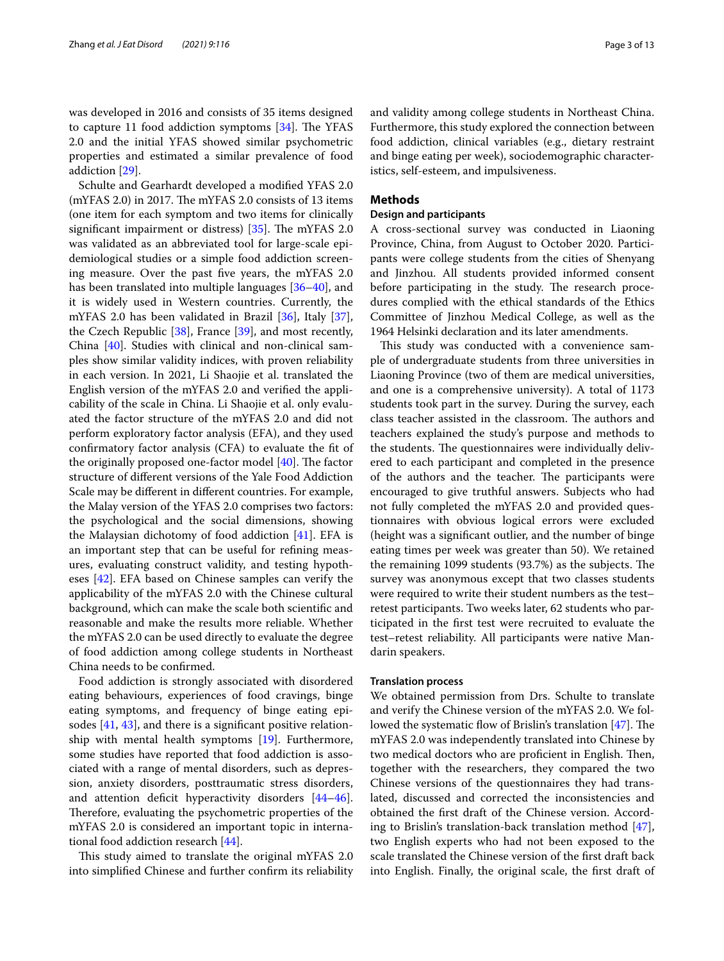was developed in 2016 and consists of 35 items designed to capture 11 food addiction symptoms  $[34]$  $[34]$ . The YFAS 2.0 and the initial YFAS showed similar psychometric properties and estimated a similar prevalence of food addiction [[29\]](#page-11-27).

Schulte and Gearhardt developed a modifed YFAS 2.0  $(mYFAS 2.0)$  in 2017. The mYFAS 2.0 consists of 13 items (one item for each symptom and two items for clinically significant impairment or distress)  $[35]$ . The mYFAS 2.0 was validated as an abbreviated tool for large-scale epidemiological studies or a simple food addiction screening measure. Over the past fve years, the mYFAS 2.0 has been translated into multiple languages [[36](#page-11-34)[–40](#page-11-35)], and it is widely used in Western countries. Currently, the mYFAS 2.0 has been validated in Brazil [\[36](#page-11-34)], Italy [\[37](#page-11-36)], the Czech Republic [[38\]](#page-11-37), France [[39\]](#page-11-38), and most recently, China [[40\]](#page-11-35). Studies with clinical and non-clinical samples show similar validity indices, with proven reliability in each version. In 2021, Li Shaojie et al. translated the English version of the mYFAS 2.0 and verifed the applicability of the scale in China. Li Shaojie et al. only evaluated the factor structure of the mYFAS 2.0 and did not perform exploratory factor analysis (EFA), and they used confrmatory factor analysis (CFA) to evaluate the ft of the originally proposed one-factor model  $[40]$  $[40]$ . The factor structure of diferent versions of the Yale Food Addiction Scale may be diferent in diferent countries. For example, the Malay version of the YFAS 2.0 comprises two factors: the psychological and the social dimensions, showing the Malaysian dichotomy of food addiction [[41](#page-11-39)]. EFA is an important step that can be useful for refning measures, evaluating construct validity, and testing hypotheses [\[42\]](#page-12-0). EFA based on Chinese samples can verify the applicability of the mYFAS 2.0 with the Chinese cultural background, which can make the scale both scientifc and reasonable and make the results more reliable. Whether the mYFAS 2.0 can be used directly to evaluate the degree of food addiction among college students in Northeast China needs to be confrmed.

Food addiction is strongly associated with disordered eating behaviours, experiences of food cravings, binge eating symptoms, and frequency of binge eating episodes [\[41](#page-11-39), [43\]](#page-12-1), and there is a signifcant positive relationship with mental health symptoms [[19\]](#page-11-17). Furthermore, some studies have reported that food addiction is associated with a range of mental disorders, such as depression, anxiety disorders, posttraumatic stress disorders, and attention deficit hyperactivity disorders [[44](#page-12-2)-46]. Therefore, evaluating the psychometric properties of the mYFAS 2.0 is considered an important topic in international food addiction research [\[44](#page-12-2)].

This study aimed to translate the original mYFAS 2.0 into simplifed Chinese and further confrm its reliability and validity among college students in Northeast China. Furthermore, this study explored the connection between food addiction, clinical variables (e.g., dietary restraint and binge eating per week), sociodemographic characteristics, self-esteem, and impulsiveness.

## **Methods**

## **Design and participants**

A cross-sectional survey was conducted in Liaoning Province, China, from August to October 2020. Participants were college students from the cities of Shenyang and Jinzhou. All students provided informed consent before participating in the study. The research procedures complied with the ethical standards of the Ethics Committee of Jinzhou Medical College, as well as the 1964 Helsinki declaration and its later amendments.

This study was conducted with a convenience sample of undergraduate students from three universities in Liaoning Province (two of them are medical universities, and one is a comprehensive university). A total of 1173 students took part in the survey. During the survey, each class teacher assisted in the classroom. The authors and teachers explained the study's purpose and methods to the students. The questionnaires were individually delivered to each participant and completed in the presence of the authors and the teacher. The participants were encouraged to give truthful answers. Subjects who had not fully completed the mYFAS 2.0 and provided questionnaires with obvious logical errors were excluded (height was a signifcant outlier, and the number of binge eating times per week was greater than 50). We retained the remaining  $1099$  students  $(93.7%)$  as the subjects. The survey was anonymous except that two classes students were required to write their student numbers as the test– retest participants. Two weeks later, 62 students who participated in the frst test were recruited to evaluate the test–retest reliability. All participants were native Mandarin speakers.

#### **Translation process**

We obtained permission from Drs. Schulte to translate and verify the Chinese version of the mYFAS 2.0. We followed the systematic flow of Brislin's translation  $[47]$  $[47]$  $[47]$ . The mYFAS 2.0 was independently translated into Chinese by two medical doctors who are proficient in English. Then, together with the researchers, they compared the two Chinese versions of the questionnaires they had translated, discussed and corrected the inconsistencies and obtained the frst draft of the Chinese version. According to Brislin's translation-back translation method [\[47](#page-12-4)], two English experts who had not been exposed to the scale translated the Chinese version of the frst draft back into English. Finally, the original scale, the frst draft of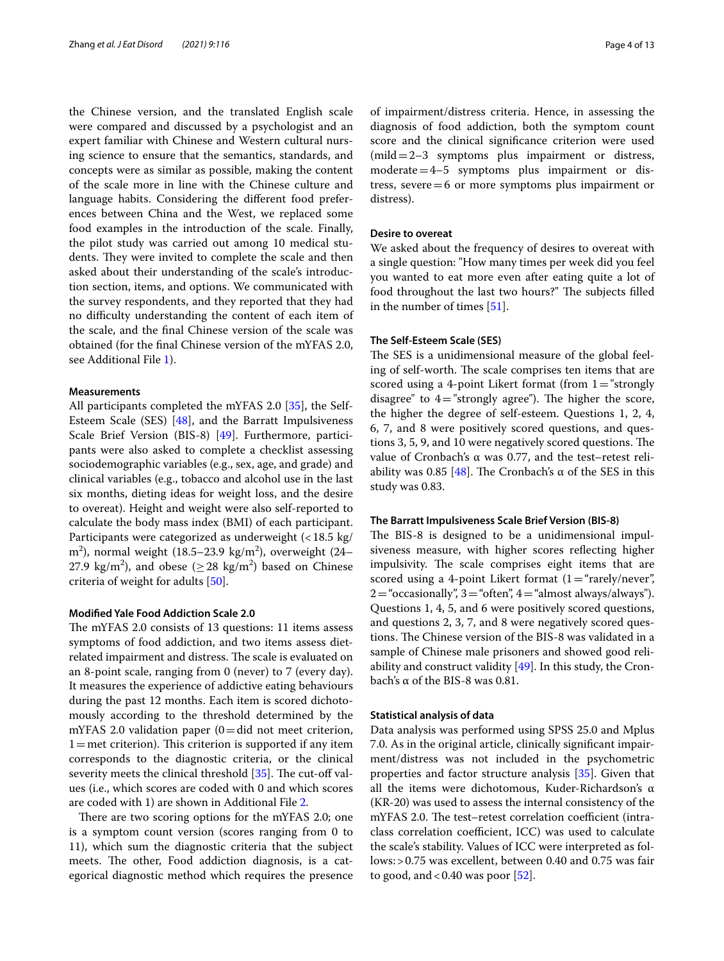the Chinese version, and the translated English scale were compared and discussed by a psychologist and an expert familiar with Chinese and Western cultural nursing science to ensure that the semantics, standards, and concepts were as similar as possible, making the content of the scale more in line with the Chinese culture and language habits. Considering the diferent food preferences between China and the West, we replaced some food examples in the introduction of the scale. Finally, the pilot study was carried out among 10 medical students. They were invited to complete the scale and then asked about their understanding of the scale's introduction section, items, and options. We communicated with the survey respondents, and they reported that they had no difficulty understanding the content of each item of the scale, and the fnal Chinese version of the scale was obtained (for the fnal Chinese version of the mYFAS 2.0, see Additional File [1\)](#page-10-0).

# **Measurements**

All participants completed the mYFAS 2.0 [[35](#page-11-33)], the Self-Esteem Scale (SES) [[48\]](#page-12-5), and the Barratt Impulsiveness Scale Brief Version (BIS-8) [[49\]](#page-12-6). Furthermore, participants were also asked to complete a checklist assessing sociodemographic variables (e.g., sex, age, and grade) and clinical variables (e.g., tobacco and alcohol use in the last six months, dieting ideas for weight loss, and the desire to overeat). Height and weight were also self-reported to calculate the body mass index (BMI) of each participant. Participants were categorized as underweight (<18.5 kg/ m $^2$ ), normal weight (18.5–23.9 kg/m $^2$ ), overweight (24– 27.9 kg/m<sup>2</sup>), and obese ( $\geq$  28 kg/m<sup>2</sup>) based on Chinese criteria of weight for adults [[50\]](#page-12-7).

#### **Modifed Yale Food Addiction Scale 2.0**

The mYFAS 2.0 consists of 13 questions: 11 items assess symptoms of food addiction, and two items assess dietrelated impairment and distress. The scale is evaluated on an 8-point scale, ranging from 0 (never) to 7 (every day). It measures the experience of addictive eating behaviours during the past 12 months. Each item is scored dichotomously according to the threshold determined by the mYFAS 2.0 validation paper  $(0=$ did not meet criterion,  $1=$  met criterion). This criterion is supported if any item corresponds to the diagnostic criteria, or the clinical severity meets the clinical threshold  $[35]$  $[35]$ . The cut-off values (i.e., which scores are coded with 0 and which scores are coded with 1) are shown in Additional File [2.](#page-10-1)

There are two scoring options for the mYFAS 2.0; one is a symptom count version (scores ranging from 0 to 11), which sum the diagnostic criteria that the subject meets. The other, Food addiction diagnosis, is a categorical diagnostic method which requires the presence of impairment/distress criteria. Hence, in assessing the diagnosis of food addiction, both the symptom count score and the clinical signifcance criterion were used  $(mild = 2-3$  symptoms plus impairment or distress, moderate=4–5 symptoms plus impairment or distress, severe=6 or more symptoms plus impairment or distress).

#### **Desire to overeat**

We asked about the frequency of desires to overeat with a single question: "How many times per week did you feel you wanted to eat more even after eating quite a lot of food throughout the last two hours?" The subjects filled in the number of times [\[51](#page-12-8)].

## **The Self‑Esteem Scale (SES)**

The SES is a unidimensional measure of the global feeling of self-worth. The scale comprises ten items that are scored using a 4-point Likert format (from  $1 =$ "strongly disagree" to  $4=$ "strongly agree"). The higher the score, the higher the degree of self-esteem. Questions 1, 2, 4, 6, 7, and 8 were positively scored questions, and questions 3, 5, 9, and 10 were negatively scored questions. The value of Cronbach's α was 0.77, and the test–retest reli-ability was 0.85 [\[48\]](#page-12-5). The Cronbach's  $\alpha$  of the SES in this study was 0.83.

#### **The Barratt Impulsiveness Scale Brief Version (BIS‑8)**

The BIS-8 is designed to be a unidimensional impulsiveness measure, with higher scores refecting higher impulsivity. The scale comprises eight items that are scored using a 4-point Likert format  $(1 = "rarely/never",$  $2=$  "occasionally",  $3=$  "often",  $4=$  "almost always/always"). Questions 1, 4, 5, and 6 were positively scored questions, and questions 2, 3, 7, and 8 were negatively scored questions. The Chinese version of the BIS-8 was validated in a sample of Chinese male prisoners and showed good reliability and construct validity  $[49]$  $[49]$ . In this study, the Cronbach's α of the BIS-8 was 0.81.

# **Statistical analysis of data**

Data analysis was performed using SPSS 25.0 and Mplus 7.0. As in the original article, clinically signifcant impairment/distress was not included in the psychometric properties and factor structure analysis [[35\]](#page-11-33). Given that all the items were dichotomous, Kuder-Richardson's α (KR-20) was used to assess the internal consistency of the mYFAS 2.0. The test–retest correlation coefficient (intraclass correlation coefficient, ICC) was used to calculate the scale's stability. Values of ICC were interpreted as follows:>0.75 was excellent, between 0.40 and 0.75 was fair to good, and  $< 0.40$  was poor [[52](#page-12-9)].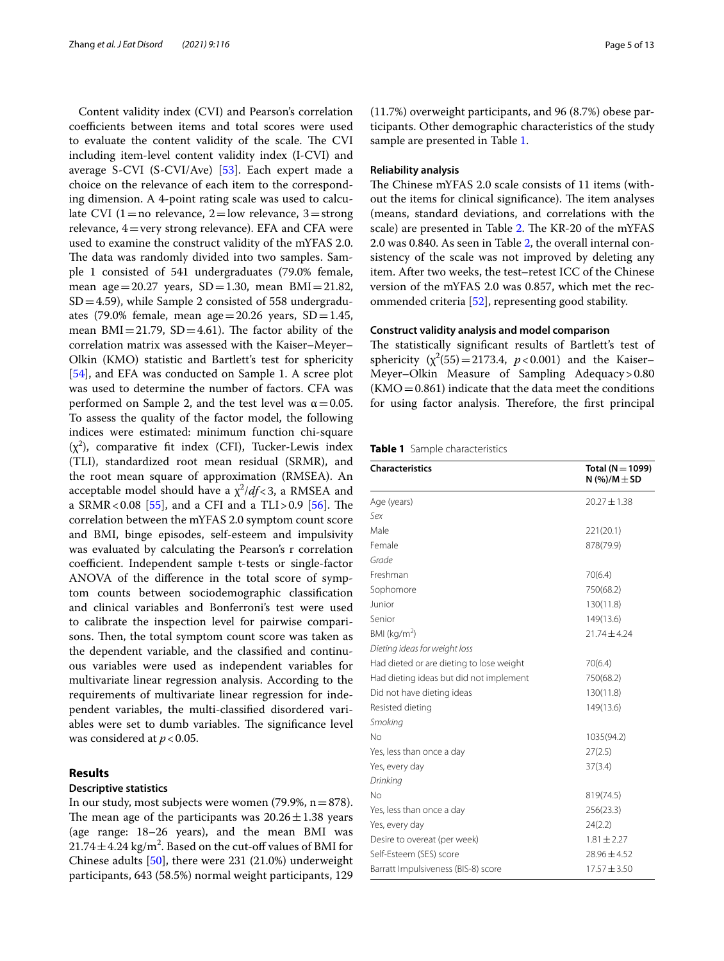Content validity index (CVI) and Pearson's correlation coefficients between items and total scores were used to evaluate the content validity of the scale. The CVI including item-level content validity index (I-CVI) and average S-CVI (S-CVI/Ave) [\[53\]](#page-12-10). Each expert made a choice on the relevance of each item to the corresponding dimension. A 4-point rating scale was used to calculate CVI (1 = no relevance, 2 = low relevance, 3 = strong relevance,  $4$  = very strong relevance). EFA and CFA were used to examine the construct validity of the mYFAS 2.0. The data was randomly divided into two samples. Sample 1 consisted of 541 undergraduates (79.0% female, mean age=20.27 years,  $SD = 1.30$ , mean  $BMI = 21.82$ ,  $SD = 4.59$ , while Sample 2 consisted of 558 undergraduates (79.0% female, mean age=20.26 years,  $SD = 1.45$ , mean  $BMI = 21.79$ ,  $SD = 4.61$ ). The factor ability of the correlation matrix was assessed with the Kaiser–Meyer– Olkin (KMO) statistic and Bartlett's test for sphericity [[54\]](#page-12-11), and EFA was conducted on Sample 1. A scree plot was used to determine the number of factors. CFA was performed on Sample 2, and the test level was  $\alpha$  = 0.05. To assess the quality of the factor model, the following indices were estimated: minimum function chi-square  $(\chi^2)$ , comparative fit index (CFI), Tucker-Lewis index (TLI), standardized root mean residual (SRMR), and the root mean square of approximation (RMSEA). An acceptable model should have a  $\chi^2/df$ <3, a RMSEA and a SRMR<0.08 [[55\]](#page-12-12), and a CFI and a TLI>0.9 [\[56](#page-12-13)]. The correlation between the mYFAS 2.0 symptom count score and BMI, binge episodes, self-esteem and impulsivity was evaluated by calculating the Pearson's r correlation coefficient. Independent sample t-tests or single-factor ANOVA of the diference in the total score of symptom counts between sociodemographic classifcation and clinical variables and Bonferroni's test were used to calibrate the inspection level for pairwise comparisons. Then, the total symptom count score was taken as the dependent variable, and the classifed and continuous variables were used as independent variables for multivariate linear regression analysis. According to the requirements of multivariate linear regression for independent variables, the multi-classifed disordered variables were set to dumb variables. The significance level was considered at *p*<0.05.

# **Results**

# **Descriptive statistics**

In our study, most subjects were women (79.9%,  $n=878$ ). The mean age of the participants was  $20.26 \pm 1.38$  years (age range: 18–26 years), and the mean BMI was  $21.74 \pm 4.24$  kg/m<sup>2</sup>. Based on the cut-off values of BMI for Chinese adults [\[50](#page-12-7)], there were 231 (21.0%) underweight participants, 643 (58.5%) normal weight participants, 129

(11.7%) overweight participants, and 96 (8.7%) obese participants. Other demographic characteristics of the study sample are presented in Table [1.](#page-4-0)

# **Reliability analysis**

The Chinese mYFAS 2.0 scale consists of 11 items (without the items for clinical significance). The item analyses (means, standard deviations, and correlations with the scale) are presented in Table [2.](#page-5-0) The KR-20 of the mYFAS 2.0 was 0.840. As seen in Table [2](#page-5-0), the overall internal consistency of the scale was not improved by deleting any item. After two weeks, the test–retest ICC of the Chinese version of the mYFAS 2.0 was 0.857, which met the recommended criteria [[52\]](#page-12-9), representing good stability.

# **Construct validity analysis and model comparison**

The statistically significant results of Bartlett's test of sphericity  $(\chi^2(55) = 2173.4, p < 0.001)$  and the Kaiser– Meyer–Olkin Measure of Sampling Adequacy>0.80  $(KMO = 0.861)$  indicate that the data meet the conditions for using factor analysis. Therefore, the first principal

<span id="page-4-0"></span>

|  | Table 1 Sample characteristics |  |
|--|--------------------------------|--|
|--|--------------------------------|--|

| <b>Characteristics</b>                   | Total ( $N = 1099$ )<br>N $(%)/M \pm SD$ |
|------------------------------------------|------------------------------------------|
| Age (years)                              | $20.27 \pm 1.38$                         |
| Sex                                      |                                          |
| Male                                     | 221(20.1)                                |
| Female                                   | 878(79.9)                                |
| Grade                                    |                                          |
| Freshman                                 | 70(6.4)                                  |
| Sophomore                                | 750(68.2)                                |
| Junior                                   | 130(11.8)                                |
| Senior                                   | 149(13.6)                                |
| BMI ( $kg/m2$ )                          | $21.74 \pm 4.24$                         |
| Dieting ideas for weight loss            |                                          |
| Had dieted or are dieting to lose weight | 70(6.4)                                  |
| Had dieting ideas but did not implement  | 750(68.2)                                |
| Did not have dieting ideas               | 130(11.8)                                |
| Resisted dieting                         | 149(13.6)                                |
| Smoking                                  |                                          |
| No                                       | 1035(94.2)                               |
| Yes, less than once a day                | 27(2.5)                                  |
| Yes, every day                           | 37(3.4)                                  |
| Drinking                                 |                                          |
| No                                       | 819(74.5)                                |
| Yes, less than once a day                | 256(23.3)                                |
| Yes, every day                           | 24(2.2)                                  |
| Desire to overeat (per week)             | $1.81 \pm 2.27$                          |
| Self-Esteem (SES) score                  | $28.96 \pm 4.52$                         |
| Barratt Impulsiveness (BIS-8) score      | $17.57 \pm 3.50$                         |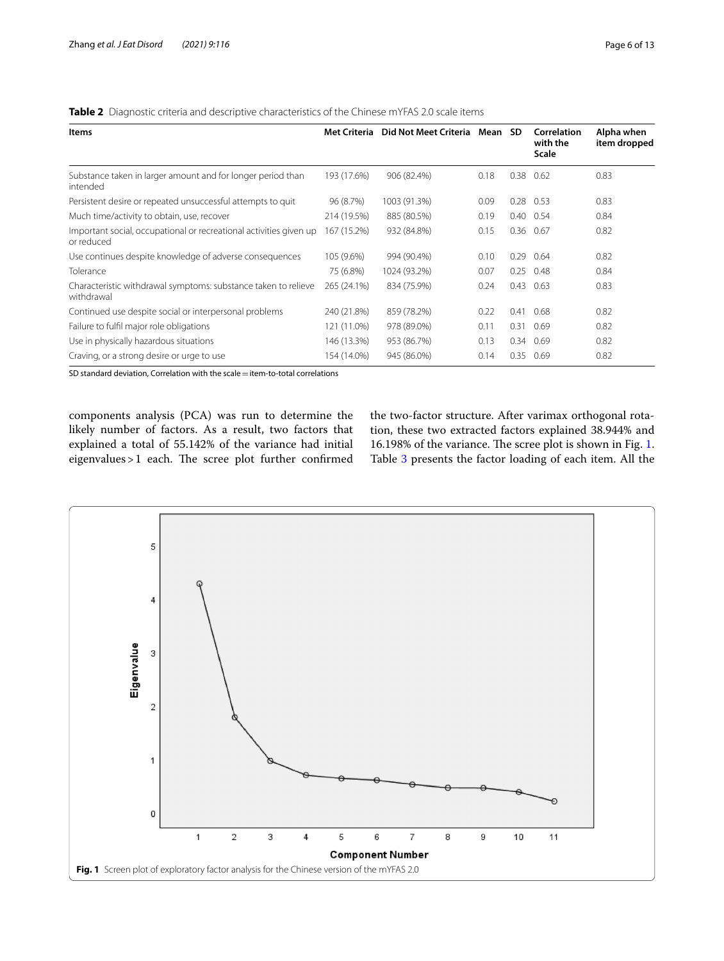| <b>Items</b>                                                                     | <b>Met Criteria</b> | Did Not Meet Criteria Mean SD |      |      | <b>Correlation</b><br>with the<br><b>Scale</b> | Alpha when<br>item dropped |
|----------------------------------------------------------------------------------|---------------------|-------------------------------|------|------|------------------------------------------------|----------------------------|
| Substance taken in larger amount and for longer period than<br>intended          | 193 (17.6%)         | 906 (82.4%)                   | 0.18 | 0.38 | 0.62                                           | 0.83                       |
| Persistent desire or repeated unsuccessful attempts to quit                      | 96 (8.7%)           | 1003 (91.3%)                  | 0.09 | 0.28 | 0.53                                           | 0.83                       |
| Much time/activity to obtain, use, recover                                       | 214 (19.5%)         | 885 (80.5%)                   | 0.19 | 0.40 | 0.54                                           | 0.84                       |
| Important social, occupational or recreational activities given up<br>or reduced | 167 (15.2%)         | 932 (84.8%)                   | 0.15 | 0.36 | 0.67                                           | 0.82                       |
| Use continues despite knowledge of adverse consequences                          | 105 (9.6%)          | 994 (90.4%)                   | 0.10 | 0.29 | 0.64                                           | 0.82                       |
| Tolerance                                                                        | 75 (6.8%)           | 1024 (93.2%)                  | 0.07 | 0.25 | 0.48                                           | 0.84                       |
| Characteristic withdrawal symptoms: substance taken to relieve<br>withdrawal     | 265 (24.1%)         | 834 (75.9%)                   | 0.24 | 0.43 | 0.63                                           | 0.83                       |
| Continued use despite social or interpersonal problems                           | 240 (21.8%)         | 859 (78.2%)                   | 0.22 | 0.41 | 0.68                                           | 0.82                       |
| Failure to fulfil major role obligations                                         | 121 (11.0%)         | 978 (89.0%)                   | 0.11 | 0.31 | 0.69                                           | 0.82                       |
| Use in physically hazardous situations                                           | 146 (13.3%)         | 953 (86.7%)                   | 0.13 | 0.34 | 0.69                                           | 0.82                       |
| Craving, or a strong desire or urge to use                                       | 154 (14.0%)         | 945 (86.0%)                   | 0.14 | 0.35 | 0.69                                           | 0.82                       |

<span id="page-5-0"></span>**Table 2** Diagnostic criteria and descriptive characteristics of the Chinese mYFAS 2.0 scale items

SD standard deviation, Correlation with the scale  $=$  item-to-total correlations

components analysis (PCA) was run to determine the likely number of factors. As a result, two factors that explained a total of 55.142% of the variance had initial eigenvalues > 1 each. The scree plot further confirmed

the two-factor structure. After varimax orthogonal rotation, these two extracted factors explained 38.944% and 16.198% of the variance. The scree plot is shown in Fig. [1](#page-5-1). Table [3](#page-6-0) presents the factor loading of each item. All the

<span id="page-5-1"></span>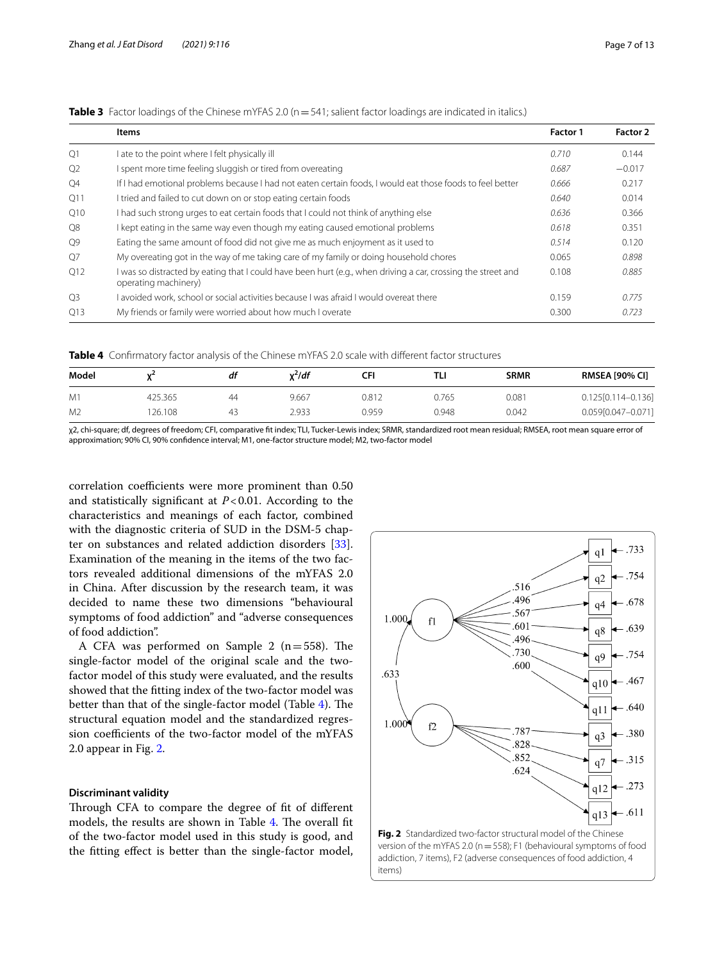|                | Items                                                                                                                                | Factor 1 | Factor 2 |
|----------------|--------------------------------------------------------------------------------------------------------------------------------------|----------|----------|
| Q1             | I ate to the point where I felt physically ill                                                                                       | 0.710    | 0.144    |
| Q <sub>2</sub> | I spent more time feeling sluggish or tired from overeating                                                                          | 0.687    | $-0.017$ |
| Q4             | If I had emotional problems because I had not eaten certain foods, I would eat those foods to feel better                            | 0.666    | 0.217    |
| Q11            | I tried and failed to cut down on or stop eating certain foods                                                                       | 0.640    | 0.014    |
| Q10            | I had such strong urges to eat certain foods that I could not think of anything else                                                 | 0.636    | 0.366    |
| Q8             | I kept eating in the same way even though my eating caused emotional problems                                                        | 0.618    | 0.351    |
| Q9             | Eating the same amount of food did not give me as much enjoyment as it used to                                                       | 0.514    | 0.120    |
| O7             | My overeating got in the way of me taking care of my family or doing household chores                                                | 0.065    | 0.898    |
| O12            | I was so distracted by eating that I could have been hurt (e.g., when driving a car, crossing the street and<br>operating machinery) | 0.108    | 0.885    |
| O <sub>3</sub> | I avoided work, school or social activities because I was afraid I would overeat there                                               | 0.159    | 0.775    |
| O13            | My friends or family were worried about how much I overate                                                                           | 0.300    | 0.723    |

<span id="page-6-0"></span>**Table 3** Factor loadings of the Chinese mYFAS 2.0 (n = 541; salient factor loadings are indicated in italics.)

<span id="page-6-1"></span>**Table 4** Confrmatory factor analysis of the Chinese mYFAS 2.0 scale with diferent factor structures

| Model          | ₩.      | df | $x^2/df$ | CFI   | TLI   | <b>SRMR</b> | <b>RMSEA [90% CI]</b>  |
|----------------|---------|----|----------|-------|-------|-------------|------------------------|
| M <sup>1</sup> | 425.365 | ΔΔ | 9.667    | 0.812 | 0.765 | 0.081       | $0.125[0.114 - 0.136]$ |
| M <sub>2</sub> | 26.108  | 43 | 2.933    | 0.959 | 0.948 | 0.042       | 0.059[0.047-0.071]     |

χ2, chi-square; df, degrees of freedom; CFI, comparative ft index; TLI, Tucker-Lewis index; SRMR, standardized root mean residual; RMSEA, root mean square error of approximation; 90% CI, 90% confdence interval; M1, one-factor structure model; M2, two-factor model

correlation coefficients were more prominent than  $0.50$ and statistically signifcant at *P*<0.01. According to the characteristics and meanings of each factor, combined with the diagnostic criteria of SUD in the DSM-5 chapter on substances and related addiction disorders [\[33](#page-11-31)]. Examination of the meaning in the items of the two factors revealed additional dimensions of the mYFAS 2.0 in China. After discussion by the research team, it was decided to name these two dimensions "behavioural symptoms of food addiction" and "adverse consequences of food addiction".

A CFA was performed on Sample 2 ( $n=558$ ). The single-factor model of the original scale and the twofactor model of this study were evaluated, and the results showed that the ftting index of the two-factor model was better than that of the single-factor model (Table [4\)](#page-6-1). The structural equation model and the standardized regression coefficients of the two-factor model of the mYFAS 2.0 appear in Fig. [2.](#page-6-2)

# **Discriminant validity**

Through CFA to compare the degree of fit of different models, the results are shown in Table  $4$ . The overall fit of the two-factor model used in this study is good, and the ftting efect is better than the single-factor model,



<span id="page-6-2"></span>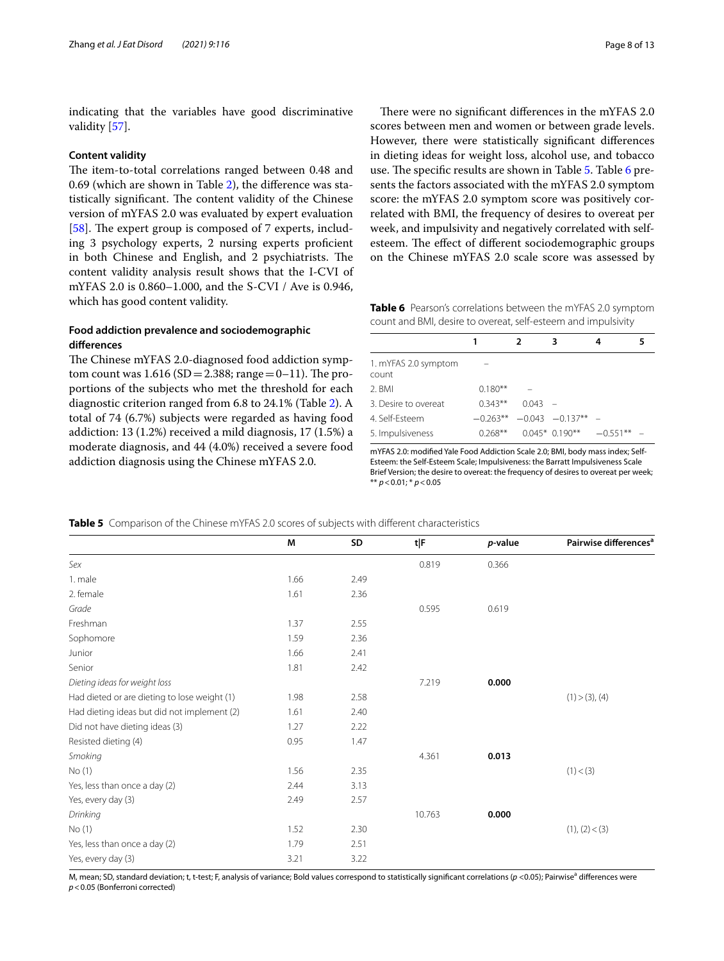indicating that the variables have good discriminative validity [\[57\]](#page-12-14).

#### **Content validity**

The item-to-total correlations ranged between 0.48 and 0.69 (which are shown in Table [2](#page-5-0)), the diference was statistically significant. The content validity of the Chinese version of mYFAS 2.0 was evaluated by expert evaluation [[58\]](#page-12-15). The expert group is composed of  $7$  experts, including 3 psychology experts, 2 nursing experts profcient in both Chinese and English, and 2 psychiatrists. The content validity analysis result shows that the I-CVI of mYFAS 2.0 is 0.860–1.000, and the S-CVI / Ave is 0.946, which has good content validity.

# **Food addiction prevalence and sociodemographic diferences**

The Chinese mYFAS 2.0-diagnosed food addiction symptom count was  $1.616$  (SD = 2.388; range = 0–11). The proportions of the subjects who met the threshold for each diagnostic criterion ranged from 6.8 to 24.1% (Table [2\)](#page-5-0). A total of 74 (6.7%) subjects were regarded as having food addiction: 13 (1.2%) received a mild diagnosis, 17 (1.5%) a moderate diagnosis, and 44 (4.0%) received a severe food addiction diagnosis using the Chinese mYFAS 2.0.

There were no significant differences in the mYFAS 2.0 scores between men and women or between grade levels. However, there were statistically signifcant diferences in dieting ideas for weight loss, alcohol use, and tobacco use. The specific results are shown in Table [5.](#page-7-0) Table [6](#page-7-1) presents the factors associated with the mYFAS 2.0 symptom score: the mYFAS 2.0 symptom score was positively correlated with BMI, the frequency of desires to overeat per week, and impulsivity and negatively correlated with selfesteem. The effect of different sociodemographic groups on the Chinese mYFAS 2.0 scale score was assessed by

<span id="page-7-1"></span>**Table 6** Pearson's correlations between the mYFAS 2.0 symptom count and BMI, desire to overeat, self-esteem and impulsivity

|                               |           |           | з                                 | 4             |  |
|-------------------------------|-----------|-----------|-----------------------------------|---------------|--|
| 1. mYFAS 2.0 symptom<br>count |           |           |                                   |               |  |
| 2. BMI                        | $0.180**$ |           |                                   |               |  |
| 3. Desire to overeat          | $0.343**$ | $0.043 -$ |                                   |               |  |
| 4. Self-Esteem                |           |           | $-0.263***$ $-0.043$ $-0.137**$ - |               |  |
| 5. Impulsiveness              | $0.268**$ |           | $0.045*0.190**$                   | $-0.551***$ - |  |

mYFAS 2.0: modifed Yale Food Addiction Scale 2.0; BMI, body mass index; Self-Esteem: the Self-Esteem Scale; Impulsiveness: the Barratt Impulsiveness Scale Brief Version; the desire to overeat: the frequency of desires to overeat per week; \*\* *p*<0.01; \* *p*<0.05

**M SD t**|F *p*-value **Pairwise differences**<sup>a</sup> *Sex* 0.819 0.366 1. male 2.49 2. female 2.36 *Grade* 0.595 0.619 Freshman 1.37 2.55 Sophomore 2.36 Junior 1.66 2.41 Senior 2.42 *Dieting ideas for weight loss* 7.219 **0.000** Had dieted or are dieting to lose weight (1)  $1.98$  2.58  $2.58$  (1)  $\geq$  (1)  $\geq$  (3), (4) Had dieting ideas but did not implement (2) 1.61 2.40 Did not have dieting ideas (3) 1.27 2.22 Resisted dieting (4) 0.95 1.47 *Smoking* 4.361 **0.013**  $N$ o (1) (3)  $1.56$  2.35 (1) (3)  $(3)$ Yes, less than once a day (2)  $2.44$  2.44 3.13 Yes, every day (3) 2.49 2.57 *Drinking* 10.763 **0.000** No (1)  $1.52$  2.30 (1), (2) < (3)  $(3)$ Yes, less than once a day (2) 1.79 2.51 Yes, every day (3) 3.21 3.22

<span id="page-7-0"></span>**Table 5** Comparison of the Chinese mYFAS 2.0 scores of subjects with different characteristics

M, mean; SD, standard deviation; t, t-test; F, analysis of variance; Bold values correspond to statistically significant correlations (p <0.05); Pairwise<sup>a</sup> differences were *p*<0.05 (Bonferroni corrected)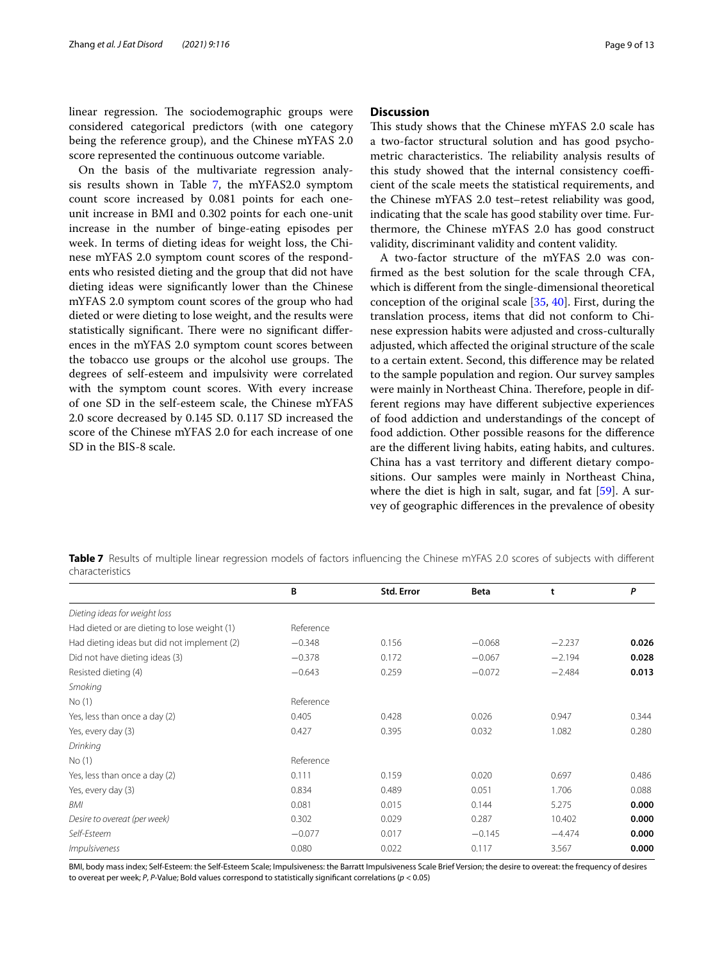linear regression. The sociodemographic groups were considered categorical predictors (with one category being the reference group), and the Chinese mYFAS 2.0 score represented the continuous outcome variable.

On the basis of the multivariate regression analysis results shown in Table [7,](#page-8-0) the mYFAS2.0 symptom count score increased by 0.081 points for each oneunit increase in BMI and 0.302 points for each one-unit increase in the number of binge-eating episodes per week. In terms of dieting ideas for weight loss, the Chinese mYFAS 2.0 symptom count scores of the respondents who resisted dieting and the group that did not have dieting ideas were signifcantly lower than the Chinese mYFAS 2.0 symptom count scores of the group who had dieted or were dieting to lose weight, and the results were statistically significant. There were no significant differences in the mYFAS 2.0 symptom count scores between the tobacco use groups or the alcohol use groups. The degrees of self-esteem and impulsivity were correlated with the symptom count scores. With every increase of one SD in the self-esteem scale, the Chinese mYFAS 2.0 score decreased by 0.145 SD. 0.117 SD increased the score of the Chinese mYFAS 2.0 for each increase of one SD in the BIS-8 scale.

# **Discussion**

This study shows that the Chinese mYFAS 2.0 scale has a two-factor structural solution and has good psychometric characteristics. The reliability analysis results of this study showed that the internal consistency coefficient of the scale meets the statistical requirements, and the Chinese mYFAS 2.0 test–retest reliability was good, indicating that the scale has good stability over time. Furthermore, the Chinese mYFAS 2.0 has good construct validity, discriminant validity and content validity.

A two-factor structure of the mYFAS 2.0 was confrmed as the best solution for the scale through CFA, which is diferent from the single-dimensional theoretical conception of the original scale [\[35](#page-11-33), [40](#page-11-35)]. First, during the translation process, items that did not conform to Chinese expression habits were adjusted and cross-culturally adjusted, which afected the original structure of the scale to a certain extent. Second, this diference may be related to the sample population and region. Our survey samples were mainly in Northeast China. Therefore, people in different regions may have diferent subjective experiences of food addiction and understandings of the concept of food addiction. Other possible reasons for the diference are the diferent living habits, eating habits, and cultures. China has a vast territory and diferent dietary compositions. Our samples were mainly in Northeast China, where the diet is high in salt, sugar, and fat [\[59](#page-12-16)]. A survey of geographic diferences in the prevalence of obesity

<span id="page-8-0"></span>**Table 7** Results of multiple linear regression models of factors influencing the Chinese mYFAS 2.0 scores of subjects with different characteristics

|                                              | B         | Std. Error | <b>Beta</b> | t        | P     |
|----------------------------------------------|-----------|------------|-------------|----------|-------|
| Dieting ideas for weight loss                |           |            |             |          |       |
| Had dieted or are dieting to lose weight (1) | Reference |            |             |          |       |
| Had dieting ideas but did not implement (2)  | $-0.348$  | 0.156      | $-0.068$    | $-2.237$ | 0.026 |
| Did not have dieting ideas (3)               | $-0.378$  | 0.172      | $-0.067$    | $-2.194$ | 0.028 |
| Resisted dieting (4)                         | $-0.643$  | 0.259      | $-0.072$    | $-2.484$ | 0.013 |
| Smoking                                      |           |            |             |          |       |
| No(1)                                        | Reference |            |             |          |       |
| Yes, less than once a day (2)                | 0.405     | 0.428      | 0.026       | 0.947    | 0.344 |
| Yes, every day (3)                           | 0.427     | 0.395      | 0.032       | 1.082    | 0.280 |
| Drinking                                     |           |            |             |          |       |
| No(1)                                        | Reference |            |             |          |       |
| Yes, less than once a day (2)                | 0.111     | 0.159      | 0.020       | 0.697    | 0.486 |
| Yes, every day (3)                           | 0.834     | 0.489      | 0.051       | 1.706    | 0.088 |
| BMI                                          | 0.081     | 0.015      | 0.144       | 5.275    | 0.000 |
| Desire to overeat (per week)                 | 0.302     | 0.029      | 0.287       | 10.402   | 0.000 |
| Self-Esteem                                  | $-0.077$  | 0.017      | $-0.145$    | $-4.474$ | 0.000 |
| <i>Impulsiveness</i>                         | 0.080     | 0.022      | 0.117       | 3.567    | 0.000 |

BMI, body mass index; Self-Esteem: the Self-Esteem Scale; Impulsiveness: the Barratt Impulsiveness Scale Brief Version; the desire to overeat: the frequency of desires to overeat per week; *P*, *P*-Value; Bold values correspond to statistically signifcant correlations (*p* < 0.05)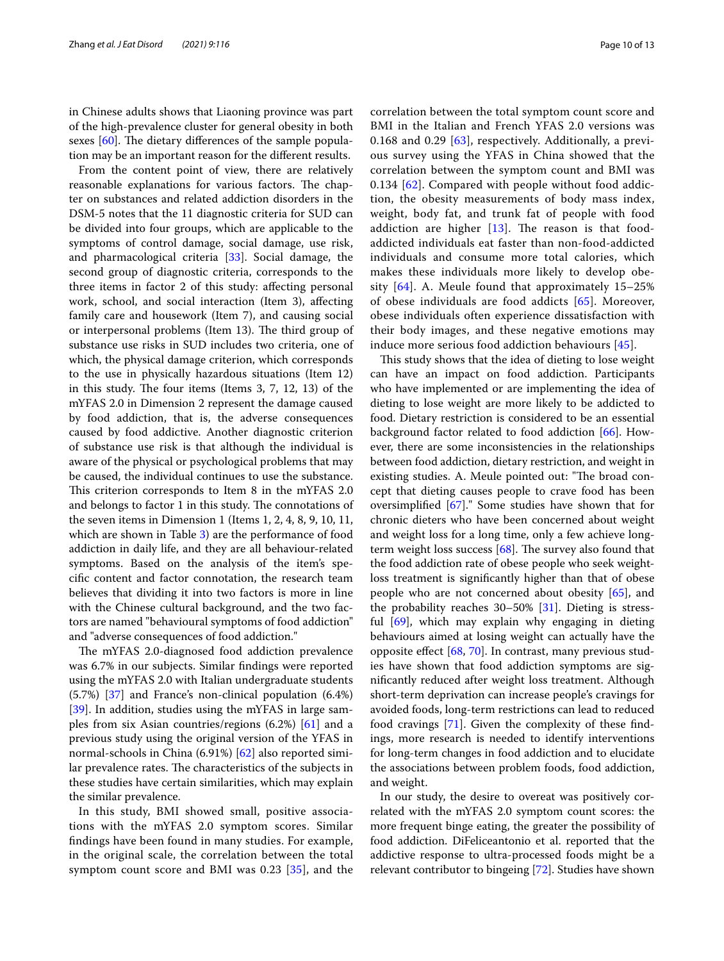in Chinese adults shows that Liaoning province was part of the high-prevalence cluster for general obesity in both sexes  $[60]$ . The dietary differences of the sample population may be an important reason for the diferent results.

From the content point of view, there are relatively reasonable explanations for various factors. The chapter on substances and related addiction disorders in the DSM-5 notes that the 11 diagnostic criteria for SUD can be divided into four groups, which are applicable to the symptoms of control damage, social damage, use risk, and pharmacological criteria [\[33\]](#page-11-31). Social damage, the second group of diagnostic criteria, corresponds to the three items in factor 2 of this study: afecting personal work, school, and social interaction (Item 3), afecting family care and housework (Item 7), and causing social or interpersonal problems (Item 13). The third group of substance use risks in SUD includes two criteria, one of which, the physical damage criterion, which corresponds to the use in physically hazardous situations (Item 12) in this study. The four items (Items  $3, 7, 12, 13$ ) of the mYFAS 2.0 in Dimension 2 represent the damage caused by food addiction, that is, the adverse consequences caused by food addictive. Another diagnostic criterion of substance use risk is that although the individual is aware of the physical or psychological problems that may be caused, the individual continues to use the substance. This criterion corresponds to Item 8 in the mYFAS 2.0 and belongs to factor 1 in this study. The connotations of the seven items in Dimension 1 (Items 1, 2, 4, 8, 9, 10, 11, which are shown in Table [3](#page-6-0)) are the performance of food addiction in daily life, and they are all behaviour-related symptoms. Based on the analysis of the item's specifc content and factor connotation, the research team believes that dividing it into two factors is more in line with the Chinese cultural background, and the two factors are named "behavioural symptoms of food addiction" and "adverse consequences of food addiction."

The mYFAS 2.0-diagnosed food addiction prevalence was 6.7% in our subjects. Similar fndings were reported using the mYFAS 2.0 with Italian undergraduate students (5.7%) [\[37](#page-11-36)] and France's non-clinical population (6.4%) [[39\]](#page-11-38). In addition, studies using the mYFAS in large samples from six Asian countries/regions (6.2%) [\[61](#page-12-18)] and a previous study using the original version of the YFAS in normal-schools in China (6.91%) [\[62\]](#page-12-19) also reported similar prevalence rates. The characteristics of the subjects in these studies have certain similarities, which may explain the similar prevalence.

In this study, BMI showed small, positive associations with the mYFAS 2.0 symptom scores. Similar fndings have been found in many studies. For example, in the original scale, the correlation between the total symptom count score and BMI was 0.23 [[35\]](#page-11-33), and the correlation between the total symptom count score and BMI in the Italian and French YFAS 2.0 versions was 0.168 and 0.29 [[63\]](#page-12-20), respectively. Additionally, a previous survey using the YFAS in China showed that the correlation between the symptom count and BMI was 0.134 [[62\]](#page-12-19). Compared with people without food addiction, the obesity measurements of body mass index, weight, body fat, and trunk fat of people with food addiction are higher  $[13]$  $[13]$ . The reason is that foodaddicted individuals eat faster than non-food-addicted individuals and consume more total calories, which makes these individuals more likely to develop obesity  $[64]$  $[64]$  $[64]$ . A. Meule found that approximately 15–25% of obese individuals are food addicts [\[65](#page-12-22)]. Moreover, obese individuals often experience dissatisfaction with their body images, and these negative emotions may induce more serious food addiction behaviours [\[45](#page-12-23)].

This study shows that the idea of dieting to lose weight can have an impact on food addiction. Participants who have implemented or are implementing the idea of dieting to lose weight are more likely to be addicted to food. Dietary restriction is considered to be an essential background factor related to food addiction [\[66](#page-12-24)]. However, there are some inconsistencies in the relationships between food addiction, dietary restriction, and weight in existing studies. A. Meule pointed out: "The broad concept that dieting causes people to crave food has been oversimplifed [\[67](#page-12-25)]." Some studies have shown that for chronic dieters who have been concerned about weight and weight loss for a long time, only a few achieve longterm weight loss success  $[68]$ . The survey also found that the food addiction rate of obese people who seek weightloss treatment is signifcantly higher than that of obese people who are not concerned about obesity [[65\]](#page-12-22), and the probability reaches  $30-50\%$  [\[31](#page-11-29)]. Dieting is stressful [\[69](#page-12-27)], which may explain why engaging in dieting behaviours aimed at losing weight can actually have the opposite efect [\[68,](#page-12-26) [70\]](#page-12-28). In contrast, many previous studies have shown that food addiction symptoms are signifcantly reduced after weight loss treatment. Although short-term deprivation can increase people's cravings for avoided foods, long-term restrictions can lead to reduced food cravings [\[71](#page-12-29)]. Given the complexity of these fndings, more research is needed to identify interventions for long-term changes in food addiction and to elucidate the associations between problem foods, food addiction, and weight.

In our study, the desire to overeat was positively correlated with the mYFAS 2.0 symptom count scores: the more frequent binge eating, the greater the possibility of food addiction. DiFeliceantonio et al. reported that the addictive response to ultra-processed foods might be a relevant contributor to bingeing [\[72\]](#page-12-30). Studies have shown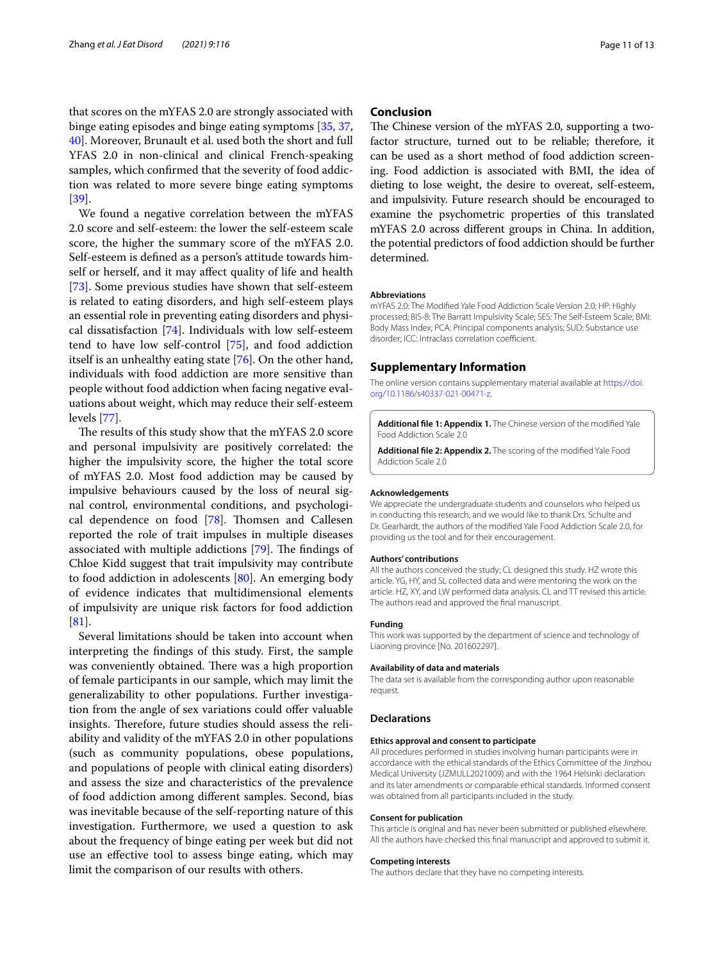that scores on the mYFAS 2.0 are strongly associated with binge eating episodes and binge eating symptoms [\[35,](#page-11-33) [37](#page-11-36), [40\]](#page-11-35). Moreover, Brunault et al. used both the short and full YFAS 2.0 in non-clinical and clinical French-speaking samples, which confrmed that the severity of food addiction was related to more severe binge eating symptoms [[39\]](#page-11-38).

We found a negative correlation between the mYFAS 2.0 score and self-esteem: the lower the self-esteem scale score, the higher the summary score of the mYFAS 2.0. Self-esteem is defned as a person's attitude towards himself or herself, and it may afect quality of life and health [[73\]](#page-12-31). Some previous studies have shown that self-esteem is related to eating disorders, and high self-esteem plays an essential role in preventing eating disorders and physical dissatisfaction [[74](#page-12-32)]. Individuals with low self-esteem tend to have low self-control [\[75](#page-12-33)], and food addiction itself is an unhealthy eating state [[76\]](#page-12-34). On the other hand, individuals with food addiction are more sensitive than people without food addiction when facing negative evaluations about weight, which may reduce their self-esteem levels [[77\]](#page-12-35).

The results of this study show that the mYFAS 2.0 score and personal impulsivity are positively correlated: the higher the impulsivity score, the higher the total score of mYFAS 2.0. Most food addiction may be caused by impulsive behaviours caused by the loss of neural signal control, environmental conditions, and psychological dependence on food  $[78]$  $[78]$ . Thomsen and Callesen reported the role of trait impulses in multiple diseases associated with multiple addictions  $[79]$  $[79]$  $[79]$ . The findings of Chloe Kidd suggest that trait impulsivity may contribute to food addiction in adolescents [\[80](#page-12-38)]. An emerging body of evidence indicates that multidimensional elements of impulsivity are unique risk factors for food addiction [[81\]](#page-12-39).

Several limitations should be taken into account when interpreting the fndings of this study. First, the sample was conveniently obtained. There was a high proportion of female participants in our sample, which may limit the generalizability to other populations. Further investigation from the angle of sex variations could offer valuable insights. Therefore, future studies should assess the reliability and validity of the mYFAS 2.0 in other populations (such as community populations, obese populations, and populations of people with clinical eating disorders) and assess the size and characteristics of the prevalence of food addiction among diferent samples. Second, bias was inevitable because of the self-reporting nature of this investigation. Furthermore, we used a question to ask about the frequency of binge eating per week but did not use an efective tool to assess binge eating, which may limit the comparison of our results with others.

# **Conclusion**

The Chinese version of the mYFAS 2.0, supporting a twofactor structure, turned out to be reliable; therefore, it can be used as a short method of food addiction screening. Food addiction is associated with BMI, the idea of dieting to lose weight, the desire to overeat, self-esteem, and impulsivity. Future research should be encouraged to examine the psychometric properties of this translated mYFAS 2.0 across diferent groups in China. In addition, the potential predictors of food addiction should be further determined.

#### **Abbreviations**

mYFAS 2.0: The Modifed Yale Food Addiction Scale Version 2.0; HP: Highly processed; BIS-8: The Barratt Impulsivity Scale; SES: The Self-Esteem Scale; BMI: Body Mass Index; PCA: Principal components analysis; SUD: Substance use disorder; ICC: Intraclass correlation coefficient.

#### **Supplementary Information**

The online version contains supplementary material available at [https://doi.](https://doi.org/10.1186/s40337-021-00471-z) [org/10.1186/s40337-021-00471-z.](https://doi.org/10.1186/s40337-021-00471-z)

<span id="page-10-1"></span><span id="page-10-0"></span>**Additional fle 1: Appendix 1.** The Chinese version of the modifed Yale Food Addiction Scale 2.0

**Additional fle 2: Appendix 2.** The scoring of the modifed Yale Food Addiction Scale 2.0

#### **Acknowledgements**

We appreciate the undergraduate students and counselors who helped us in conducting this research, and we would like to thank Drs. Schulte and Dr. Gearhardt, the authors of the modifed Yale Food Addiction Scale 2.0, for providing us the tool and for their encouragement.

#### **Authors' contributions**

All the authors conceived the study; CL designed this study. HZ wrote this article. YG, HY, and SL collected data and were mentoring the work on the article. HZ, XY, and LW performed data analysis. CL and TT revised this article. The authors read and approved the fnal manuscript.

#### **Funding**

This work was supported by the department of science and technology of Liaoning province [No. 201602297].

#### **Availability of data and materials**

The data set is available from the corresponding author upon reasonable request.

#### **Declarations**

#### **Ethics approval and consent to participate**

All procedures performed in studies involving human participants were in accordance with the ethical standards of the Ethics Committee of the Jinzhou Medical University (JZMULL2021009) and with the 1964 Helsinki declaration and its later amendments or comparable ethical standards. Informed consent was obtained from all participants included in the study.

#### **Consent for publication**

This article is original and has never been submitted or published elsewhere. All the authors have checked this fnal manuscript and approved to submit it.

#### **Competing interests**

The authors declare that they have no competing interests.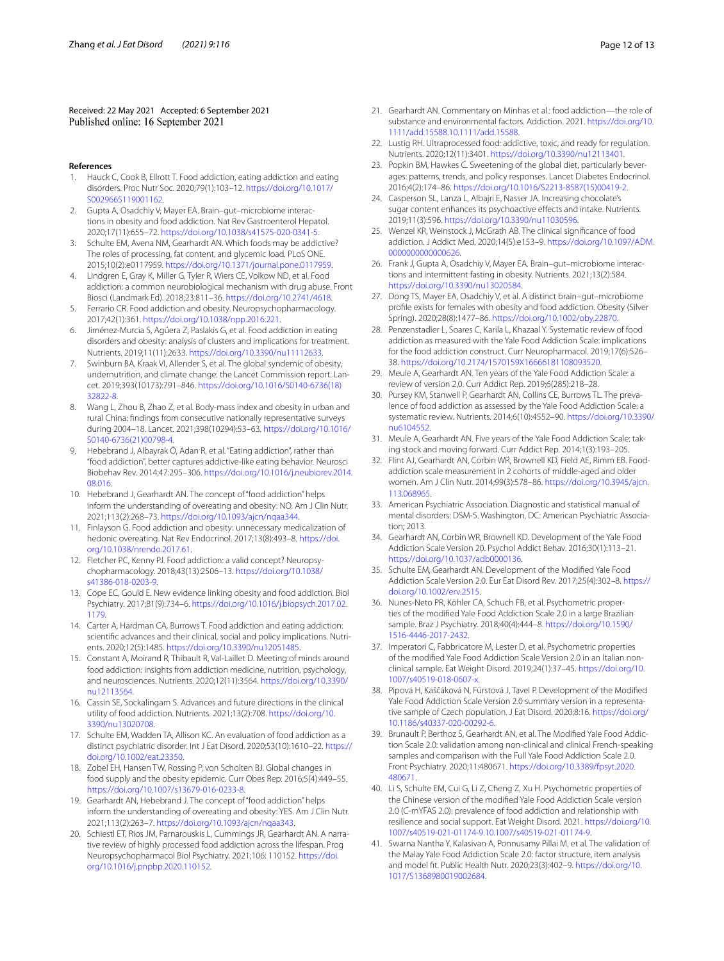Received: 22 May 2021 Accepted: 6 September 2021

#### **References**

- <span id="page-11-0"></span>1. Hauck C, Cook B, Ellrott T. Food addiction, eating addiction and eating disorders. Proc Nutr Soc. 2020;79(1):103–12. [https://doi.org/10.1017/](https://doi.org/10.1017/S0029665119001162) [S0029665119001162.](https://doi.org/10.1017/S0029665119001162)
- <span id="page-11-1"></span>2. Gupta A, Osadchiy V, Mayer EA. Brain–gut–microbiome interactions in obesity and food addiction. Nat Rev Gastroenterol Hepatol. 2020;17(11):655–72. <https://doi.org/10.1038/s41575-020-0341-5>.
- <span id="page-11-2"></span>Schulte EM, Avena NM, Gearhardt AN. Which foods may be addictive? The roles of processing, fat content, and glycemic load. PLoS ONE. 2015;10(2):e0117959. [https://doi.org/10.1371/journal.pone.0117959.](https://doi.org/10.1371/journal.pone.0117959)
- <span id="page-11-3"></span>4. Lindgren E, Gray K, Miller G, Tyler R, Wiers CE, Volkow ND, et al. Food addiction: a common neurobiological mechanism with drug abuse. Front Biosci (Landmark Ed). 2018;23:811–36. <https://doi.org/10.2741/4618>.
- <span id="page-11-4"></span>5. Ferrario CR. Food addiction and obesity. Neuropsychopharmacology. 2017;42(1):361. <https://doi.org/10.1038/npp.2016.221>.
- <span id="page-11-5"></span>6. Jiménez-Murcia S, Agüera Z, Paslakis G, et al. Food addiction in eating disorders and obesity: analysis of clusters and implications for treatment. Nutrients. 2019;11(11):2633. [https://doi.org/10.3390/nu11112633.](https://doi.org/10.3390/nu11112633)
- <span id="page-11-6"></span>7. Swinburn BA, Kraak VI, Allender S, et al. The global syndemic of obesity, undernutrition, and climate change: the Lancet Commission report. Lancet. 2019;393(10173):791–846. [https://doi.org/10.1016/S0140-6736\(18\)](https://doi.org/10.1016/S0140-6736(18)32822-8) [32822-8.](https://doi.org/10.1016/S0140-6736(18)32822-8)
- <span id="page-11-7"></span>8. Wang L, Zhou B, Zhao Z, et al. Body-mass index and obesity in urban and rural China: fndings from consecutive nationally representative surveys during 2004–18. Lancet. 2021;398(10294):53–63. [https://doi.org/10.1016/](https://doi.org/10.1016/S0140-6736(21)00798-4) [S0140-6736\(21\)00798-4](https://doi.org/10.1016/S0140-6736(21)00798-4).
- <span id="page-11-8"></span>9. Hebebrand J, Albayrak Ö, Adan R, et al. "Eating addiction", rather than "food addiction", better captures addictive-like eating behavior. Neurosci Biobehav Rev. 2014;47:295–306. [https://doi.org/10.1016/j.neubiorev.2014.](https://doi.org/10.1016/j.neubiorev.2014.08.016) [08.016](https://doi.org/10.1016/j.neubiorev.2014.08.016).
- <span id="page-11-9"></span>10. Hebebrand J, Gearhardt AN. The concept of "food addiction" helps inform the understanding of overeating and obesity: NO. Am J Clin Nutr. 2021;113(2):268–73. <https://doi.org/10.1093/ajcn/nqaa344>.
- <span id="page-11-10"></span>11. Finlayson G. Food addiction and obesity: unnecessary medicalization of hedonic overeating. Nat Rev Endocrinol. 2017;13(8):493–8. [https://doi.](https://doi.org/10.1038/nrendo.2017.61) [org/10.1038/nrendo.2017.61.](https://doi.org/10.1038/nrendo.2017.61)
- <span id="page-11-11"></span>12. Fletcher PC, Kenny PJ. Food addiction: a valid concept? Neuropsychopharmacology. 2018;43(13):2506–13. [https://doi.org/10.1038/](https://doi.org/10.1038/s41386-018-0203-9) [s41386-018-0203-9.](https://doi.org/10.1038/s41386-018-0203-9)
- <span id="page-11-12"></span>13. Cope EC, Gould E. New evidence linking obesity and food addiction. Biol Psychiatry. 2017;81(9):734–6. [https://doi.org/10.1016/j.biopsych.2017.02.](https://doi.org/10.1016/j.biopsych.2017.02.1179) [1179](https://doi.org/10.1016/j.biopsych.2017.02.1179).
- <span id="page-11-13"></span>14. Carter A, Hardman CA, Burrows T. Food addiction and eating addiction: scientifc advances and their clinical, social and policy implications. Nutrients. 2020;12(5):1485.<https://doi.org/10.3390/nu12051485>.
- 15. Constant A, Moirand R, Thibault R, Val-Laillet D. Meeting of minds around food addiction: insights from addiction medicine, nutrition, psychology, and neurosciences. Nutrients. 2020;12(11):3564. [https://doi.org/10.3390/](https://doi.org/10.3390/nu12113564) [nu12113564.](https://doi.org/10.3390/nu12113564)
- <span id="page-11-14"></span>16. Cassin SE, Sockalingam S. Advances and future directions in the clinical utility of food addiction. Nutrients. 2021;13(2):708. [https://doi.org/10.](https://doi.org/10.3390/nu13020708) [3390/nu13020708](https://doi.org/10.3390/nu13020708).
- <span id="page-11-15"></span>17. Schulte EM, Wadden TA, Allison KC. An evaluation of food addiction as a distinct psychiatric disorder. Int J Eat Disord. 2020;53(10):1610–22. [https://](https://doi.org/10.1002/eat.23350) [doi.org/10.1002/eat.23350](https://doi.org/10.1002/eat.23350).
- <span id="page-11-16"></span>Zobel EH, Hansen TW, Rossing P, von Scholten BJ. Global changes in food supply and the obesity epidemic. Curr Obes Rep. 2016;5(4):449–55. [https://doi.org/10.1007/s13679-016-0233-8.](https://doi.org/10.1007/s13679-016-0233-8)
- <span id="page-11-17"></span>19. Gearhardt AN, Hebebrand J. The concept of "food addiction" helps inform the understanding of overeating and obesity: YES. Am J Clin Nutr. 2021;113(2):263–7. [https://doi.org/10.1093/ajcn/nqaa343.](https://doi.org/10.1093/ajcn/nqaa343)
- <span id="page-11-18"></span>20. Schiestl ET, Rios JM, Parnarouskis L, Cummings JR, Gearhardt AN. A narrative review of highly processed food addiction across the lifespan. Prog Neuropsychopharmacol Biol Psychiatry. 2021;106: 110152. [https://doi.](https://doi.org/10.1016/j.pnpbp.2020.110152) [org/10.1016/j.pnpbp.2020.110152.](https://doi.org/10.1016/j.pnpbp.2020.110152)
- <span id="page-11-19"></span>21. Gearhardt AN. Commentary on Minhas et al.: food addiction—the role of substance and environmental factors. Addiction. 2021. [https://doi.org/10.](https://doi.org/10.1111/add.15588.10.1111/add.15588) [1111/add.15588.10.1111/add.15588](https://doi.org/10.1111/add.15588.10.1111/add.15588).
- <span id="page-11-20"></span>22. Lustig RH. Ultraprocessed food: addictive, toxic, and ready for regulation. Nutrients. 2020;12(11):3401. [https://doi.org/10.3390/nu12113401.](https://doi.org/10.3390/nu12113401)
- <span id="page-11-21"></span>23. Popkin BM, Hawkes C. Sweetening of the global diet, particularly beverages: patterns, trends, and policy responses. Lancet Diabetes Endocrinol. 2016;4(2):174–86. [https://doi.org/10.1016/S2213-8587\(15\)00419-2.](https://doi.org/10.1016/S2213-8587(15)00419-2)
- <span id="page-11-22"></span>24. Casperson SL, Lanza L, Albajri E, Nasser JA. Increasing chocolate's sugar content enhances its psychoactive effects and intake. Nutrients. 2019;11(3):596. [https://doi.org/10.3390/nu11030596.](https://doi.org/10.3390/nu11030596)
- <span id="page-11-23"></span>25. Wenzel KR, Weinstock J, McGrath AB. The clinical signifcance of food addiction. J Addict Med. 2020;14(5):e153–9. [https://doi.org/10.1097/ADM.](https://doi.org/10.1097/ADM.0000000000000626) [0000000000000626](https://doi.org/10.1097/ADM.0000000000000626).
- <span id="page-11-24"></span>26. Frank J, Gupta A, Osadchiy V, Mayer EA. Brain–gut–microbiome interactions and intermittent fasting in obesity. Nutrients. 2021;13(2):584. [https://doi.org/10.3390/nu13020584.](https://doi.org/10.3390/nu13020584)
- <span id="page-11-25"></span>27. Dong TS, Mayer EA, Osadchiy V, et al. A distinct brain–gut–microbiome profle exists for females with obesity and food addiction. Obesity (Silver Spring). 2020;28(8):1477–86. [https://doi.org/10.1002/oby.22870.](https://doi.org/10.1002/oby.22870)
- <span id="page-11-26"></span>28. Penzenstadler L, Soares C, Karila L, Khazaal Y. Systematic review of food addiction as measured with the Yale Food Addiction Scale: implications for the food addiction construct. Curr Neuropharmacol. 2019;17(6):526– 38. [https://doi.org/10.2174/1570159X16666181108093520.](https://doi.org/10.2174/1570159X16666181108093520)
- <span id="page-11-27"></span>29. Meule A, Gearhardt AN. Ten years of the Yale Food Addiction Scale: a review of version 2,0. Curr Addict Rep. 2019;6(285):218–28.
- <span id="page-11-28"></span>30. Pursey KM, Stanwell P, Gearhardt AN, Collins CE, Burrows TL. The prevalence of food addiction as assessed by the Yale Food Addiction Scale: a systematic review. Nutrients. 2014;6(10):4552–90. [https://doi.org/10.3390/](https://doi.org/10.3390/nu6104552) [nu6104552](https://doi.org/10.3390/nu6104552).
- <span id="page-11-29"></span>31. Meule A, Gearhardt AN. Five years of the Yale Food Addiction Scale: taking stock and moving forward. Curr Addict Rep. 2014;1(3):193–205.
- <span id="page-11-30"></span>32. Flint AJ, Gearhardt AN, Corbin WR, Brownell KD, Field AE, Rimm EB. Foodaddiction scale measurement in 2 cohorts of middle-aged and older women. Am J Clin Nutr. 2014;99(3):578–86. [https://doi.org/10.3945/ajcn.](https://doi.org/10.3945/ajcn.113.068965) [113.068965.](https://doi.org/10.3945/ajcn.113.068965)
- <span id="page-11-31"></span>33. American Psychiatric Association. Diagnostic and statistical manual of mental disorders: DSM-5. Washington, DC: American Psychiatric Association; 2013.
- <span id="page-11-32"></span>34. Gearhardt AN, Corbin WR, Brownell KD. Development of the Yale Food Addiction Scale Version 20. Psychol Addict Behav. 2016;30(1):113–21. [https://doi.org/10.1037/adb0000136.](https://doi.org/10.1037/adb0000136)
- <span id="page-11-33"></span>35. Schulte EM, Gearhardt AN. Development of the Modifed Yale Food Addiction Scale Version 2.0. Eur Eat Disord Rev. 2017;25(4):302–8. [https://](https://doi.org/10.1002/erv.2515) [doi.org/10.1002/erv.2515.](https://doi.org/10.1002/erv.2515)
- <span id="page-11-34"></span>36. Nunes-Neto PR, Köhler CA, Schuch FB, et al. Psychometric properties of the modifed Yale Food Addiction Scale 2.0 in a large Brazilian sample. Braz J Psychiatry. 2018;40(4):444–8. [https://doi.org/10.1590/](https://doi.org/10.1590/1516-4446-2017-2432) [1516-4446-2017-2432.](https://doi.org/10.1590/1516-4446-2017-2432)
- <span id="page-11-36"></span>37. Imperatori C, Fabbricatore M, Lester D, et al. Psychometric properties of the modifed Yale Food Addiction Scale Version 2.0 in an Italian nonclinical sample. Eat Weight Disord. 2019;24(1):37–45. [https://doi.org/10.](https://doi.org/10.1007/s40519-018-0607-x) [1007/s40519-018-0607-x.](https://doi.org/10.1007/s40519-018-0607-x)
- <span id="page-11-37"></span>38. Pipová H, Kaščáková N, Fürstová J, Tavel P. Development of the Modifed Yale Food Addiction Scale Version 2.0 summary version in a representative sample of Czech population. J Eat Disord. 2020;8:16. [https://doi.org/](https://doi.org/10.1186/s40337-020-00292-6) [10.1186/s40337-020-00292-6](https://doi.org/10.1186/s40337-020-00292-6).
- <span id="page-11-38"></span>39. Brunault P, Berthoz S, Gearhardt AN, et al. The Modifed Yale Food Addiction Scale 2.0: validation among non-clinical and clinical French-speaking samples and comparison with the Full Yale Food Addiction Scale 2.0. Front Psychiatry. 2020;11:480671. [https://doi.org/10.3389/fpsyt.2020.](https://doi.org/10.3389/fpsyt.2020.480671) [480671.](https://doi.org/10.3389/fpsyt.2020.480671)
- <span id="page-11-35"></span>40. Li S, Schulte EM, Cui G, Li Z, Cheng Z, Xu H. Psychometric properties of the Chinese version of the modifed Yale Food Addiction Scale version 2.0 (C-mYFAS 2.0): prevalence of food addiction and relationship with resilience and social support. Eat Weight Disord. 2021. [https://doi.org/10.](https://doi.org/10.1007/s40519-021-01174-9.10.1007/s40519-021-01174-9) [1007/s40519-021-01174-9.10.1007/s40519-021-01174-9.](https://doi.org/10.1007/s40519-021-01174-9.10.1007/s40519-021-01174-9)
- <span id="page-11-39"></span>41. Swarna Nantha Y, Kalasivan A, Ponnusamy Pillai M, et al. The validation of the Malay Yale Food Addiction Scale 2.0: factor structure, item analysis and model ft. Public Health Nutr. 2020;23(3):402–9. [https://doi.org/10.](https://doi.org/10.1017/S1368980019002684) [1017/S1368980019002684](https://doi.org/10.1017/S1368980019002684).